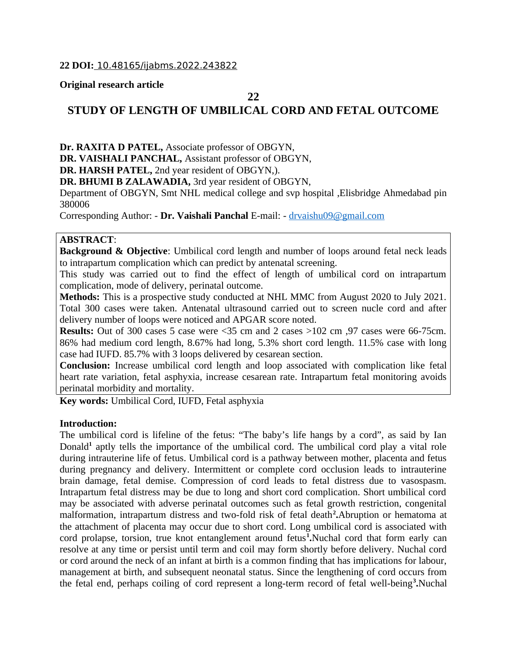## **Original research article**

## **22**

# **STUDY OF LENGTH OF UMBILICAL CORD AND FETAL OUTCOME**

**Dr. RAXITA D PATEL,** Associate professor of OBGYN,

**DR. VAISHALI PANCHAL,** Assistant professor of OBGYN,

**DR. HARSH PATEL,** 2nd year resident of OBGYN,).

**DR. BHUMI B ZALAWADIA,** 3rd year resident of OBGYN,

Department of OBGYN, Smt NHL medical college and svp hospital ,Elisbridge Ahmedabad pin 380006

Corresponding Author: - **Dr. Vaishali Panchal** E-mail: - [drvaishu09@gmail.com](mailto:drvaishu09@gmail.com)

## **ABSTRACT**:

**Background & Objective**: Umbilical cord length and number of loops around fetal neck leads to intrapartum complication which can predict by antenatal screening.

This study was carried out to find the effect of length of umbilical cord on intrapartum complication, mode of delivery, perinatal outcome.

**Methods:** This is a prospective study conducted at NHL MMC from August 2020 to July 2021. Total 300 cases were taken. Antenatal ultrasound carried out to screen nucle cord and after delivery number of loops were noticed and APGAR score noted.

**Results:** Out of 300 cases 5 case were <35 cm and 2 cases >102 cm ,97 cases were 66-75cm. 86% had medium cord length, 8.67% had long, 5.3% short cord length. 11.5% case with long case had IUFD. 85.7% with 3 loops delivered by cesarean section.

**Conclusion:** Increase umbilical cord length and loop associated with complication like fetal heart rate variation, fetal asphyxia, increase cesarean rate. Intrapartum fetal monitoring avoids perinatal morbidity and mortality.

**Key words:** Umbilical Cord, IUFD, Fetal asphyxia

### **Introduction:**

The umbilical cord is lifeline of the fetus: "The baby's life hangs by a cord", as said by Ian Donald**<sup>1</sup>** aptly tells the importance of the umbilical cord. The umbilical cord play a vital role during intrauterine life of fetus. Umbilical cord is a pathway between mother, placenta and fetus during pregnancy and delivery. Intermittent or complete cord occlusion leads to intrauterine brain damage, fetal demise. Compression of cord leads to fetal distress due to vasospasm. Intrapartum fetal distress may be due to long and short cord complication. Short umbilical cord may be associated with adverse perinatal outcomes such as fetal growth restriction, congenital malformation, intrapartum distress and two-fold risk of fetal death**<sup>2</sup> .**Abruption or hematoma at the attachment of placenta may occur due to short cord. Long umbilical cord is associated with cord prolapse, torsion, true knot entanglement around fetus**<sup>1</sup> .**Nuchal cord that form early can resolve at any time or persist until term and coil may form shortly before delivery. Nuchal cord or cord around the neck of an infant at birth is a common finding that has implications for labour, management at birth, and subsequent neonatal status. Since the lengthening of cord occurs from the fetal end, perhaps coiling of cord represent a long-term record of fetal well-being**<sup>3</sup> .**Nuchal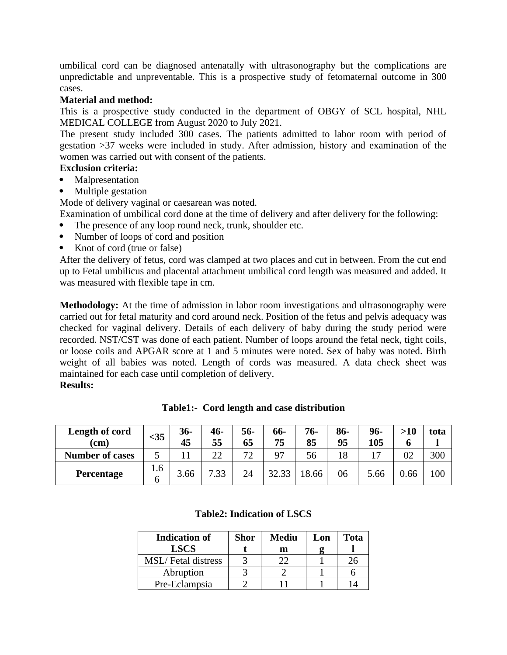umbilical cord can be diagnosed antenatally with ultrasonography but the complications are unpredictable and unpreventable. This is a prospective study of fetomaternal outcome in 300 cases.

# **Material and method:**

This is a prospective study conducted in the department of OBGY of SCL hospital, NHL MEDICAL COLLEGE from August 2020 to July 2021.

The present study included 300 cases. The patients admitted to labor room with period of gestation >37 weeks were included in study. After admission, history and examination of the women was carried out with consent of the patients.

# **Exclusion criteria:**

- Malpresentation
- Multiple gestation

Mode of delivery vaginal or caesarean was noted.

Examination of umbilical cord done at the time of delivery and after delivery for the following:

- The presence of any loop round neck, trunk, shoulder etc.
- Number of loops of cord and position
- Knot of cord (true or false)

After the delivery of fetus, cord was clamped at two places and cut in between. From the cut end up to Fetal umbilicus and placental attachment umbilical cord length was measured and added. It was measured with flexible tape in cm.

**Methodology:** At the time of admission in labor room investigations and ultrasonography were carried out for fetal maturity and cord around neck. Position of the fetus and pelvis adequacy was checked for vaginal delivery. Details of each delivery of baby during the study period were recorded. NST/CST was done of each patient. Number of loops around the fetal neck, tight coils, or loose coils and APGAR score at 1 and 5 minutes were noted. Sex of baby was noted. Birth weight of all babies was noted. Length of cords was measured. A data check sheet was maintained for each case until completion of delivery.

**Results:**

| <b>Length of cord</b>  | $35$     | $36-$ | $46-$ | $56-$ | 66-   | $76-$ | $86-$ | 96-  | >10  | tota |
|------------------------|----------|-------|-------|-------|-------|-------|-------|------|------|------|
| (cm)                   |          | 45    | 55    | 65    | 75    | 85    | 95    | 105  |      |      |
| <b>Number of cases</b> |          |       | つつ    | 77    | 97    | 56    | 18    |      | 02   | 300  |
| Percentage             | 1.6<br>h | 3.66  | 7.33  | 24    | 32.33 | 18.66 | 06    | 5.66 | 0.66 | 100  |

**Table1:- Cord length and case distribution**

|  | <b>Table2: Indication of LSCS</b> |  |
|--|-----------------------------------|--|
|--|-----------------------------------|--|

| <b>Indication of</b>      | Shor | <b>Mediu</b> | Lon | Tota |
|---------------------------|------|--------------|-----|------|
| <b>LSCS</b>               |      | m            |     |      |
| <b>MSL/Fetal distress</b> |      |              |     |      |
| Abruption                 |      |              |     |      |
| Pre-Eclampsia             |      |              |     |      |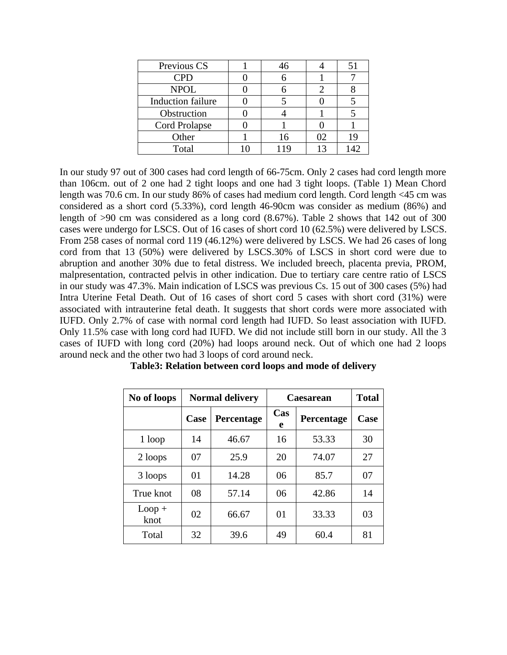| Previous CS              | 46  |    | 51  |
|--------------------------|-----|----|-----|
| <b>CPD</b>               |     |    |     |
| <b>NPOL</b>              |     |    |     |
| <b>Induction failure</b> |     |    |     |
| Obstruction              |     |    |     |
| Cord Prolapse            |     |    |     |
| Other                    | 16  | 02 | 19  |
| Total                    | 119 | 13 | 142 |

In our study 97 out of 300 cases had cord length of 66-75cm. Only 2 cases had cord length more than 106cm. out of 2 one had 2 tight loops and one had 3 tight loops. (Table 1) Mean Chord length was 70.6 cm. In our study 86% of cases had medium cord length. Cord length <45 cm was considered as a short cord (5.33%), cord length 46-90cm was consider as medium (86%) and length of >90 cm was considered as a long cord (8.67%). Table 2 shows that 142 out of 300 cases were undergo for LSCS. Out of 16 cases of short cord 10 (62.5%) were delivered by LSCS. From 258 cases of normal cord 119 (46.12%) were delivered by LSCS. We had 26 cases of long cord from that 13 (50%) were delivered by LSCS.30% of LSCS in short cord were due to abruption and another 30% due to fetal distress. We included breech, placenta previa, PROM, malpresentation, contracted pelvis in other indication. Due to tertiary care centre ratio of LSCS in our study was 47.3%. Main indication of LSCS was previous Cs. 15 out of 300 cases (5%) had Intra Uterine Fetal Death. Out of 16 cases of short cord 5 cases with short cord (31%) were associated with intrauterine fetal death. It suggests that short cords were more associated with IUFD. Only 2.7% of case with normal cord length had IUFD. So least association with IUFD. Only 11.5% case with long cord had IUFD. We did not include still born in our study. All the 3 cases of IUFD with long cord (20%) had loops around neck. Out of which one had 2 loops around neck and the other two had 3 loops of cord around neck.

| No of loops      |      | <b>Normal delivery</b> | <b>Caesarean</b> | <b>Total</b> |      |
|------------------|------|------------------------|------------------|--------------|------|
|                  | Case | Percentage             | Cas<br>e         | Percentage   | Case |
| 1 loop           | 14   | 46.67                  | 16               | 53.33        | 30   |
| 2 loops          | 07   | 25.9                   | 20               | 74.07        | 27   |
| 3 loops          | 01   | 14.28                  | 06               | 85.7         | 07   |
| True knot        | 08   | 57.14                  | 06               | 42.86        | 14   |
| $Loop +$<br>knot | 02   | 66.67                  | 01               | 33.33        | 03   |
| Total            | 32   | 39.6                   | 49               | 60.4         | 81   |

**Table3: Relation between cord loops and mode of delivery**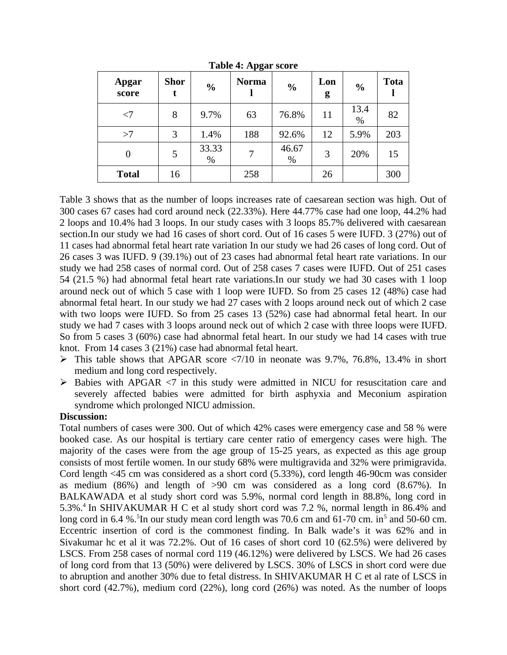| <b>Apgar</b><br>score | <b>Shor</b><br>t | $\frac{0}{0}$ | <b>Norma</b> | $\%$          | Lon<br>g | $\%$         | <b>Tota</b> |
|-----------------------|------------------|---------------|--------------|---------------|----------|--------------|-------------|
| $<$ 7                 | 8                | 9.7%          | 63           | 76.8%         | 11       | 13.4<br>$\%$ | 82          |
| >7                    | 3                | 1.4%          | 188          | 92.6%         | 12       | 5.9%         | 203         |
| $\overline{0}$        | 5                | 33.33<br>$\%$ | 7            | 46.67<br>$\%$ | 3        | 20%          | 15          |
| <b>Total</b>          | 16               |               | 258          |               | 26       |              | 300         |

**Table 4: Apgar score**

Table 3 shows that as the number of loops increases rate of caesarean section was high. Out of 300 cases 67 cases had cord around neck (22.33%). Here 44.77% case had one loop, 44.2% had 2 loops and 10.4% had 3 loops. In our study cases with 3 loops 85.7% delivered with caesarean section.In our study we had 16 cases of short cord. Out of 16 cases 5 were IUFD. 3 (27%) out of 11 cases had abnormal fetal heart rate variation In our study we had 26 cases of long cord. Out of 26 cases 3 was IUFD. 9 (39.1%) out of 23 cases had abnormal fetal heart rate variations. In our study we had 258 cases of normal cord. Out of 258 cases 7 cases were IUFD. Out of 251 cases 54 (21.5 %) had abnormal fetal heart rate variations.In our study we had 30 cases with 1 loop around neck out of which 5 case with 1 loop were IUFD. So from 25 cases 12 (48%) case had abnormal fetal heart. In our study we had 27 cases with 2 loops around neck out of which 2 case with two loops were IUFD. So from 25 cases 13 (52%) case had abnormal fetal heart. In our study we had 7 cases with 3 loops around neck out of which 2 case with three loops were IUFD. So from 5 cases 3 (60%) case had abnormal fetal heart. In our study we had 14 cases with true knot. From 14 cases 3 (21%) case had abnormal fetal heart.

- $\triangleright$  This table shows that APGAR score <7/10 in neonate was 9.7%, 76.8%, 13.4% in short medium and long cord respectively.
- Babies with APGAR <7 in this study were admitted in NICU for resuscitation care and severely affected babies were admitted for birth asphyxia and Meconium aspiration syndrome which prolonged NICU admission.

## **Discussion:**

Total numbers of cases were 300. Out of which 42% cases were emergency case and 58 % were booked case. As our hospital is tertiary care center ratio of emergency cases were high. The majority of the cases were from the age group of 15-25 years, as expected as this age group consists of most fertile women. In our study 68% were multigravida and 32% were primigravida. Cord length <45 cm was considered as a short cord (5.33%), cord length 46-90cm was consider as medium (86%) and length of >90 cm was considered as a long cord (8.67%). In BALKAWADA et al study short cord was 5.9%, normal cord length in 88.8%, long cord in 5.3%.<sup>4</sup> In SHIVAKUMAR H C et al study short cord was 7.2 %, normal length in 86.4% and long cord in 6.4 %.<sup>5</sup>In our study mean cord length was 70.6 cm and 61-70 cm. in<sup>5</sup> and 50-60 cm. Eccentric insertion of cord is the commonest finding. In Balk wade's it was 62% and in Sivakumar hc et al it was 72.2%. Out of 16 cases of short cord 10 (62.5%) were delivered by LSCS. From 258 cases of normal cord 119 (46.12%) were delivered by LSCS. We had 26 cases of long cord from that 13 (50%) were delivered by LSCS. 30% of LSCS in short cord were due to abruption and another 30% due to fetal distress. In SHIVAKUMAR H C et al rate of LSCS in short cord (42.7%), medium cord (22%), long cord (26%) was noted. As the number of loops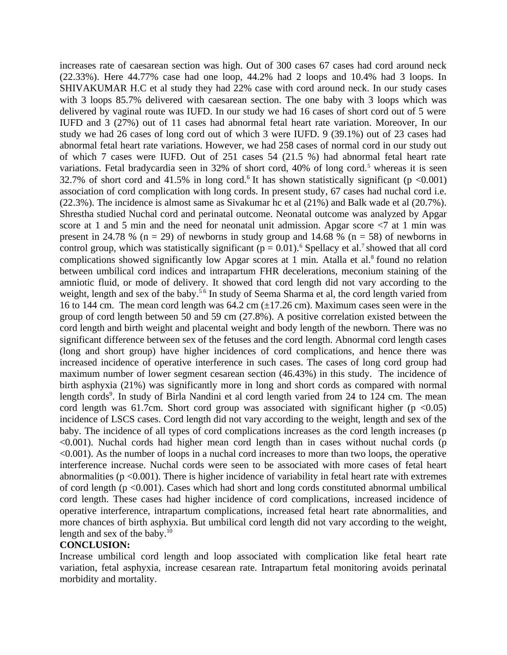increases rate of caesarean section was high. Out of 300 cases 67 cases had cord around neck (22.33%). Here 44.77% case had one loop, 44.2% had 2 loops and 10.4% had 3 loops. In SHIVAKUMAR H.C et al study they had 22% case with cord around neck. In our study cases with 3 loops 85.7% delivered with caesarean section. The one baby with 3 loops which was delivered by vaginal route was IUFD. In our study we had 16 cases of short cord out of 5 were IUFD and 3 (27%) out of 11 cases had abnormal fetal heart rate variation. Moreover, In our study we had 26 cases of long cord out of which 3 were IUFD. 9 (39.1%) out of 23 cases had abnormal fetal heart rate variations. However, we had 258 cases of normal cord in our study out of which 7 cases were IUFD. Out of 251 cases 54 (21.5 %) had abnormal fetal heart rate variations. Fetal bradycardia seen in 32% of short cord, 40% of long cord.<sup>5</sup> whereas it is seen 32.7% of short cord and 41.5% in long cord.<sup>6</sup> It has shown statistically significant ( $p \le 0.001$ ) association of cord complication with long cords. In present study, 67 cases had nuchal cord i.e. (22.3%). The incidence is almost same as Sivakumar hc et al (21%) and Balk wade et al (20.7%). Shrestha studied Nuchal cord and perinatal outcome. Neonatal outcome was analyzed by Apgar score at 1 and 5 min and the need for neonatal unit admission. Apgar score  $\leq 7$  at 1 min was present in 24.78 % (n = 29) of newborns in study group and 14.68 % (n = 58) of newborns in control group, which was statistically significant ( $p = 0.01$ ).<sup>6</sup> Spellacy et al.<sup>7</sup> showed that all cord complications showed significantly low Apgar scores at 1 min. Atalla et al. $8$  found no relation between umbilical cord indices and intrapartum FHR decelerations, meconium staining of the amniotic fluid, or mode of delivery. It showed that cord length did not vary according to the weight, length and sex of the baby.<sup>56</sup> In study of Seema Sharma et al, the cord length varied from 16 to 144 cm. The mean cord length was 64.2 cm (±17.26 cm). Maximum cases seen were in the group of cord length between 50 and 59 cm (27.8%). A positive correlation existed between the cord length and birth weight and placental weight and body length of the newborn. There was no significant difference between sex of the fetuses and the cord length. Abnormal cord length cases (long and short group) have higher incidences of cord complications, and hence there was increased incidence of operative interference in such cases. The cases of long cord group had maximum number of lower segment cesarean section (46.43%) in this study. The incidence of birth asphyxia (21%) was significantly more in long and short cords as compared with normal length cords<sup>9</sup>. In study of Birla Nandini et al cord length varied from 24 to 124 cm. The mean cord length was 61.7cm. Short cord group was associated with significant higher ( $p \le 0.05$ ) incidence of LSCS cases. Cord length did not vary according to the weight, length and sex of the baby. The incidence of all types of cord complications increases as the cord length increases (p <0.001). Nuchal cords had higher mean cord length than in cases without nuchal cords (p <0.001). As the number of loops in a nuchal cord increases to more than two loops, the operative interference increase. Nuchal cords were seen to be associated with more cases of fetal heart abnormalities ( $p \le 0.001$ ). There is higher incidence of variability in fetal heart rate with extremes of cord length ( $p \le 0.001$ ). Cases which had short and long cords constituted abnormal umbilical cord length. These cases had higher incidence of cord complications, increased incidence of operative interference, intrapartum complications, increased fetal heart rate abnormalities, and more chances of birth asphyxia. But umbilical cord length did not vary according to the weight, length and sex of the baby. $10<sup>10</sup>$ 

### **CONCLUSION:**

Increase umbilical cord length and loop associated with complication like fetal heart rate variation, fetal asphyxia, increase cesarean rate. Intrapartum fetal monitoring avoids perinatal morbidity and mortality.